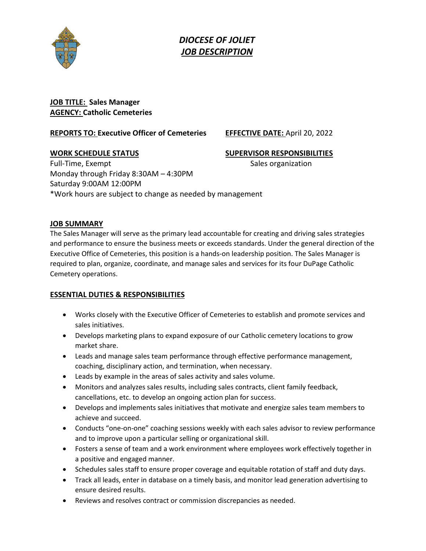

*DIOCESE OF JOLIET JOB DESCRIPTION*

# **JOB TITLE: Sales Manager AGENCY: Catholic Cemeteries**

#### **REPORTS TO: Executive Officer of Cemeteries EFFECTIVE DATE:** April 20, 2022

## **WORK SCHEDULE STATUS SUPERVISOR RESPONSIBILITIES**

Full-Time, Exempt Sales organization Monday through Friday 8:30AM – 4:30PM Saturday 9:00AM 12:00PM \*Work hours are subject to change as needed by management

## **JOB SUMMARY**

The Sales Manager will serve as the primary lead accountable for creating and driving sales strategies and performance to ensure the business meets or exceeds standards. Under the general direction of the Executive Office of Cemeteries, this position is a hands-on leadership position. The Sales Manager is required to plan, organize, coordinate, and manage sales and services for its four DuPage Catholic Cemetery operations.

## **ESSENTIAL DUTIES & RESPONSIBILITIES**

- Works closely with the Executive Officer of Cemeteries to establish and promote services and sales initiatives.
- Develops marketing plans to expand exposure of our Catholic cemetery locations to grow market share.
- Leads and manage sales team performance through effective performance management, coaching, disciplinary action, and termination, when necessary.
- Leads by example in the areas of sales activity and sales volume.
- Monitors and analyzes sales results, including sales contracts, client family feedback, cancellations, etc. to develop an ongoing action plan for success.
- Develops and implements sales initiatives that motivate and energize sales team members to achieve and succeed.
- Conducts "one-on-one" coaching sessions weekly with each sales advisor to review performance and to improve upon a particular selling or organizational skill.
- Fosters a sense of team and a work environment where employees work effectively together in a positive and engaged manner.
- Schedules sales staff to ensure proper coverage and equitable rotation of staff and duty days.
- Track all leads, enter in database on a timely basis, and monitor lead generation advertising to ensure desired results.
- Reviews and resolves contract or commission discrepancies as needed.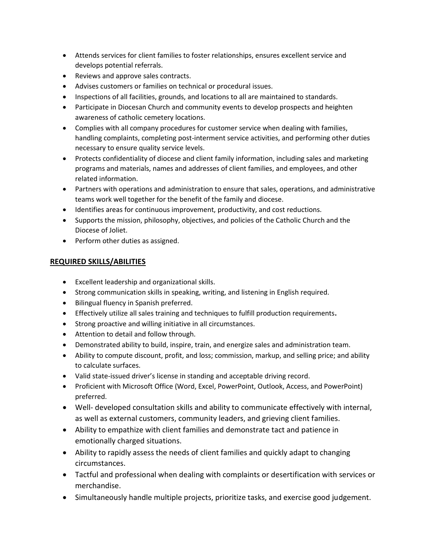- Attends services for client families to foster relationships, ensures excellent service and develops potential referrals.
- Reviews and approve sales contracts.
- Advises customers or families on technical or procedural issues.
- Inspections of all facilities, grounds, and locations to all are maintained to standards.
- Participate in Diocesan Church and community events to develop prospects and heighten awareness of catholic cemetery locations.
- Complies with all company procedures for customer service when dealing with families, handling complaints, completing post-interment service activities, and performing other duties necessary to ensure quality service levels.
- Protects confidentiality of diocese and client family information, including sales and marketing programs and materials, names and addresses of client families, and employees, and other related information.
- Partners with operations and administration to ensure that sales, operations, and administrative teams work well together for the benefit of the family and diocese.
- Identifies areas for continuous improvement, productivity, and cost reductions.
- Supports the mission, philosophy, objectives, and policies of the Catholic Church and the Diocese of Joliet.
- Perform other duties as assigned.

#### **REQUIRED SKILLS/ABILITIES**

- Excellent leadership and organizational skills.
- Strong communication skills in speaking, writing, and listening in English required.
- Bilingual fluency in Spanish preferred.
- Effectively utilize all sales training and techniques to fulfill production requirements**.**
- Strong proactive and willing initiative in all circumstances.
- Attention to detail and follow through.
- Demonstrated ability to build, inspire, train, and energize sales and administration team.
- Ability to compute discount, profit, and loss; commission, markup, and selling price; and ability to calculate surfaces.
- Valid state-issued driver's license in standing and acceptable driving record.
- Proficient with Microsoft Office (Word, Excel, PowerPoint, Outlook, Access, and PowerPoint) preferred.
- Well- developed consultation skills and ability to communicate effectively with internal, as well as external customers, community leaders, and grieving client families.
- Ability to empathize with client families and demonstrate tact and patience in emotionally charged situations.
- Ability to rapidly assess the needs of client families and quickly adapt to changing circumstances.
- Tactful and professional when dealing with complaints or desertification with services or merchandise.
- Simultaneously handle multiple projects, prioritize tasks, and exercise good judgement.